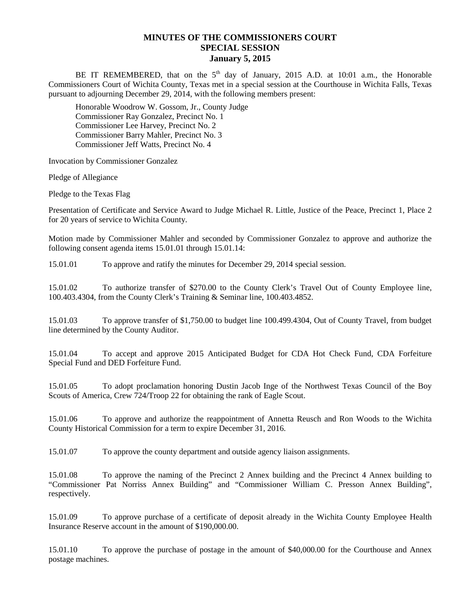## **MINUTES OF THE COMMISSIONERS COURT SPECIAL SESSION January 5, 2015**

BE IT REMEMBERED, that on the  $5<sup>th</sup>$  day of January, 2015 A.D. at 10:01 a.m., the Honorable Commissioners Court of Wichita County, Texas met in a special session at the Courthouse in Wichita Falls, Texas pursuant to adjourning December 29, 2014, with the following members present:

Honorable Woodrow W. Gossom, Jr., County Judge Commissioner Ray Gonzalez, Precinct No. 1 Commissioner Lee Harvey, Precinct No. 2 Commissioner Barry Mahler, Precinct No. 3 Commissioner Jeff Watts, Precinct No. 4

Invocation by Commissioner Gonzalez

Pledge of Allegiance

Pledge to the Texas Flag

Presentation of Certificate and Service Award to Judge Michael R. Little, Justice of the Peace, Precinct 1, Place 2 for 20 years of service to Wichita County.

Motion made by Commissioner Mahler and seconded by Commissioner Gonzalez to approve and authorize the following consent agenda items 15.01.01 through 15.01.14:

15.01.01 To approve and ratify the minutes for December 29, 2014 special session.

15.01.02 To authorize transfer of \$270.00 to the County Clerk's Travel Out of County Employee line, 100.403.4304, from the County Clerk's Training & Seminar line, 100.403.4852.

15.01.03 To approve transfer of \$1,750.00 to budget line 100.499.4304, Out of County Travel, from budget line determined by the County Auditor.

15.01.04 To accept and approve 2015 Anticipated Budget for CDA Hot Check Fund, CDA Forfeiture Special Fund and DED Forfeiture Fund.

15.01.05 To adopt proclamation honoring Dustin Jacob Inge of the Northwest Texas Council of the Boy Scouts of America, Crew 724/Troop 22 for obtaining the rank of Eagle Scout.

15.01.06 To approve and authorize the reappointment of Annetta Reusch and Ron Woods to the Wichita County Historical Commission for a term to expire December 31, 2016.

15.01.07 To approve the county department and outside agency liaison assignments.

15.01.08 To approve the naming of the Precinct 2 Annex building and the Precinct 4 Annex building to "Commissioner Pat Norriss Annex Building" and "Commissioner William C. Presson Annex Building", respectively.

15.01.09 To approve purchase of a certificate of deposit already in the Wichita County Employee Health Insurance Reserve account in the amount of \$190,000.00.

15.01.10 To approve the purchase of postage in the amount of \$40,000.00 for the Courthouse and Annex postage machines.